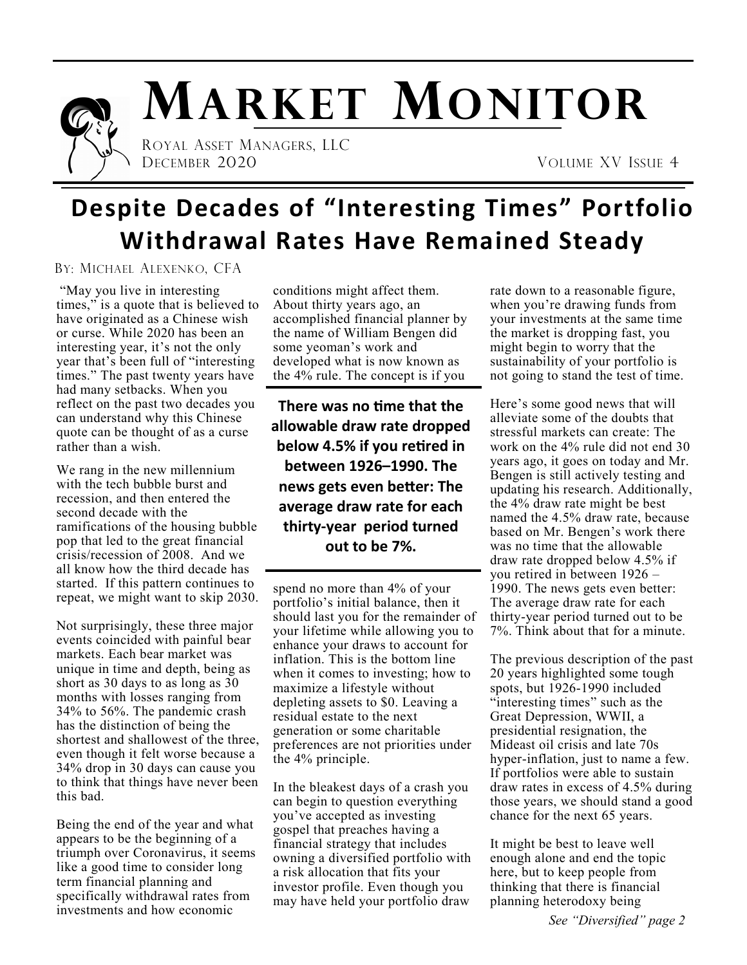

# **MARKET MONITOR**

 ROYAL ASSET MANAGERS, LLC DECEMBER 2020 VOLUME XV ISSUE 4

## **Despite Decades of "Interesting Times" Portfolio Withdrawal Rates Have Remained Steady**

BY: MICHAEL ALEXENKO, CFA

"May you live in interesting times," is a quote that is believed to have originated as a Chinese wish or curse. While 2020 has been an interesting year, it's not the only year that's been full of "interesting times." The past twenty years have had many setbacks. When you reflect on the past two decades you can understand why this Chinese quote can be thought of as a curse rather than a wish.

We rang in the new millennium with the tech bubble burst and recession, and then entered the second decade with the ramifications of the housing bubble pop that led to the great financial crisis/recession of 2008. And we all know how the third decade has started. If this pattern continues to repeat, we might want to skip 2030.

Not surprisingly, these three major events coincided with painful bear markets. Each bear market was unique in time and depth, being as short as 30 days to as long as 30 months with losses ranging from 34% to 56%. The pandemic crash has the distinction of being the shortest and shallowest of the three, even though it felt worse because a 34% drop in 30 days can cause you to think that things have never been this bad.

Being the end of the year and what appears to be the beginning of a triumph over Coronavirus, it seems like a good time to consider long term financial planning and specifically withdrawal rates from investments and how economic

conditions might affect them. About thirty years ago, an accomplished financial planner by the name of William Bengen did some yeoman's work and developed what is now known as the 4% rule. The concept is if you

**There was no time that the allowable draw rate dropped below 4.5% if you retired in between 1926–1990. The news gets even better: The average draw rate for each thirty-year period turned out to be 7%.** 

spend no more than 4% of your portfolio's initial balance, then it should last you for the remainder of your lifetime while allowing you to enhance your draws to account for inflation. This is the bottom line when it comes to investing; how to maximize a lifestyle without depleting assets to \$0. Leaving a residual estate to the next generation or some charitable preferences are not priorities under the 4% principle.

In the bleakest days of a crash you can begin to question everything you've accepted as investing gospel that preaches having a financial strategy that includes owning a diversified portfolio with a risk allocation that fits your investor profile. Even though you may have held your portfolio draw

rate down to a reasonable figure, when you're drawing funds from your investments at the same time the market is dropping fast, you might begin to worry that the sustainability of your portfolio is not going to stand the test of time.

Here's some good news that will alleviate some of the doubts that stressful markets can create: The work on the 4% rule did not end 30 years ago, it goes on today and Mr. Bengen is still actively testing and updating his research. Additionally, the 4% draw rate might be best named the 4.5% draw rate, because based on Mr. Bengen's work there was no time that the allowable draw rate dropped below 4.5% if you retired in between 1926 – 1990. The news gets even better: The average draw rate for each thirty-year period turned out to be 7%. Think about that for a minute.

The previous description of the past 20 years highlighted some tough spots, but 1926-1990 included "interesting times" such as the Great Depression, WWII, a presidential resignation, the Mideast oil crisis and late 70s hyper-inflation, just to name a few. If portfolios were able to sustain draw rates in excess of 4.5% during those years, we should stand a good chance for the next 65 years.

It might be best to leave well enough alone and end the topic here, but to keep people from thinking that there is financial planning heterodoxy being